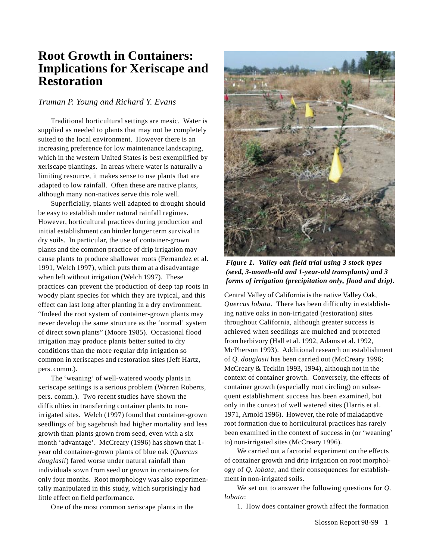# **Root Growth in Containers: Implications for Xeriscape and Restoration**

## *Truman P. Young and Richard Y. Evans*

Traditional horticultural settings are mesic. Water is supplied as needed to plants that may not be completely suited to the local environment. However there is an increasing preference for low maintenance landscaping, which in the western United States is best exemplified by xeriscape plantings. In areas where water is naturally a limiting resource, it makes sense to use plants that are adapted to low rainfall. Often these are native plants, although many non-natives serve this role well.

Superficially, plants well adapted to drought should be easy to establish under natural rainfall regimes. However, horticultural practices during production and initial establishment can hinder longer term survival in dry soils. In particular, the use of container-grown plants and the common practice of drip irrigation may cause plants to produce shallower roots (Fernandez et al. 1991, Welch 1997), which puts them at a disadvantage when left without irrigation (Welch 1997). These practices can prevent the production of deep tap roots in woody plant species for which they are typical, and this effect can last long after planting in a dry environment. "Indeed the root system of container-grown plants may never develop the same structure as the 'normal' system of direct sown plants" (Moore 1985). Occasional flood irrigation may produce plants better suited to dry conditions than the more regular drip irrigation so common in xeriscapes and restoration sites (Jeff Hartz, pers. comm.).

The 'weaning' of well-watered woody plants in xeriscape settings is a serious problem (Warren Roberts, pers. comm.). Two recent studies have shown the difficulties in transferring container plants to nonirrigated sites. Welch (1997) found that container-grown seedlings of big sagebrush had higher mortality and less growth than plants grown from seed, even with a six month 'advantage'. McCreary (1996) has shown that 1 year old container-grown plants of blue oak (*Quercus douglasii*) fared worse under natural rainfall than individuals sown from seed or grown in containers for only four months. Root morphology was also experimentally manipulated in this study, which surprisingly had little effect on field performance.

One of the most common xeriscape plants in the



*Figure 1. Valley oak field trial using 3 stock types (seed, 3-month-old and 1-year-old transplants) and 3 forms of irrigation (precipitation only, flood and drip).*

Central Valley of California is the native Valley Oak, *Quercus lobata*. There has been difficulty in establishing native oaks in non-irrigated (restoration) sites throughout California, although greater success is achieved when seedlings are mulched and protected from herbivory (Hall et al. 1992, Adams et al. 1992, McPherson 1993). Additional research on establishment of *Q. douglasii* has been carried out (McCreary 1996; McCreary & Tecklin 1993, 1994), although not in the context of container growth. Conversely, the effects of container growth (especially root circling) on subsequent establishment success has been examined, but only in the context of well watered sites (Harris et al. 1971, Arnold 1996). However, the role of maladaptive root formation due to horticultural practices has rarely been examined in the context of success in (or 'weaning' to) non-irrigated sites (McCreary 1996).

We carried out a factorial experiment on the effects of container growth and drip irrigation on root morphology of *Q. lobata*, and their consequences for establishment in non-irrigated soils.

We set out to answer the following questions for *Q. lobata*:

1. How does container growth affect the formation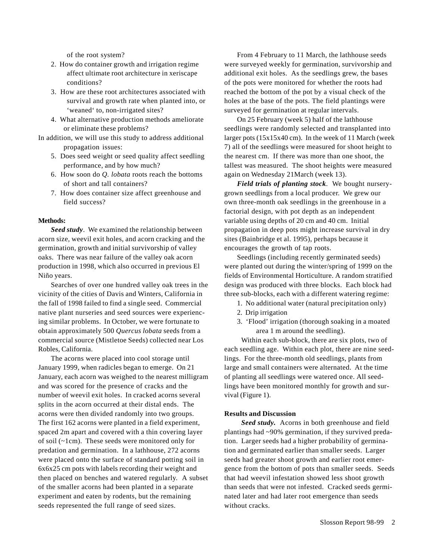of the root system?

- 2. How do container growth and irrigation regime affect ultimate root architecture in xeriscape conditions?
- 3. How are these root architectures associated with survival and growth rate when planted into, or 'weaned' to, non-irrigated sites?
- 4. What alternative production methods ameliorate or eliminate these problems?
- In addition, we will use this study to address additional propagation issues:
	- 5. Does seed weight or seed quality affect seedling performance, and by how much?
	- 6. How soon do *Q. lobata* roots reach the bottoms of short and tall containers?
	- 7. How does container size affect greenhouse and field success?

#### **Methods:**

*Seed study*. We examined the relationship between acorn size, weevil exit holes, and acorn cracking and the germination, growth and initial survivorship of valley oaks. There was near failure of the valley oak acorn production in 1998, which also occurred in previous El Niño years.

Searches of over one hundred valley oak trees in the vicinity of the cities of Davis and Winters, California in the fall of 1998 failed to find a single seed. Commercial native plant nurseries and seed sources were experiencing similar problems. In October, we were fortunate to obtain approximately 500 *Quercus lobata* seeds from a commercial source (Mistletoe Seeds) collected near Los Robles, California.

The acorns were placed into cool storage until January 1999, when radicles began to emerge. On 21 January, each acorn was weighed to the nearest milligram and was scored for the presence of cracks and the number of weevil exit holes. In cracked acorns several splits in the acorn occurred at their distal ends. The acorns were then divided randomly into two groups. The first 162 acorns were planted in a field experiment, spaced 2m apart and covered with a thin covering layer of soil (~1cm). These seeds were monitored only for predation and germination. In a lathhouse, 272 acorns were placed onto the surface of standard potting soil in 6x6x25 cm pots with labels recording their weight and then placed on benches and watered regularly. A subset of the smaller acorns had been planted in a separate experiment and eaten by rodents, but the remaining seeds represented the full range of seed sizes.

From 4 February to 11 March, the lathhouse seeds were surveyed weekly for germination, survivorship and additional exit holes. As the seedlings grew, the bases of the pots were monitored for whether the roots had reached the bottom of the pot by a visual check of the holes at the base of the pots. The field plantings were surveyed for germination at regular intervals.

On 25 February (week 5) half of the lathhouse seedlings were randomly selected and transplanted into larger pots (15x15x40 cm). In the week of 11 March (week 7) all of the seedlings were measured for shoot height to the nearest cm. If there was more than one shoot, the tallest was measured. The shoot heights were measured again on Wednesday 21March (week 13).

*Field trials of planting stock*. We bought nurserygrown seedlings from a local producer. We grew our own three-month oak seedlings in the greenhouse in a factorial design, with pot depth as an independent variable using depths of 20 cm and 40 cm. Initial propagation in deep pots might increase survival in dry sites (Bainbridge et al. 1995), perhaps because it encourages the growth of tap roots.

Seedlings (including recently germinated seeds) were planted out during the winter/spring of 1999 on the fields of Environmental Horticulture. A random stratified design was produced with three blocks. Each block had three sub-blocks, each with a different watering regime:

- 1. No additional water (natural precipitation only)
- 2. Drip irrigation
- 3. 'Flood' irrigation (thorough soaking in a moated area 1 m around the seedling).

Within each sub-block, there are six plots, two of each seedling age. Within each plot, there are nine seedlings. For the three-month old seedlings, plants from large and small containers were alternated. At the time of planting all seedlings were watered once. All seedlings have been monitored monthly for growth and survival (Figure 1).

### **Results and Discussion**

*Seed study.* Acorns in both greenhouse and field plantings had ~90% germination, if they survived predation. Larger seeds had a higher probability of germination and germinated earlier than smaller seeds. Larger seeds had greater shoot growth and earlier root emergence from the bottom of pots than smaller seeds. Seeds that had weevil infestation showed less shoot growth than seeds that were not infested. Cracked seeds germinated later and had later root emergence than seeds without cracks.